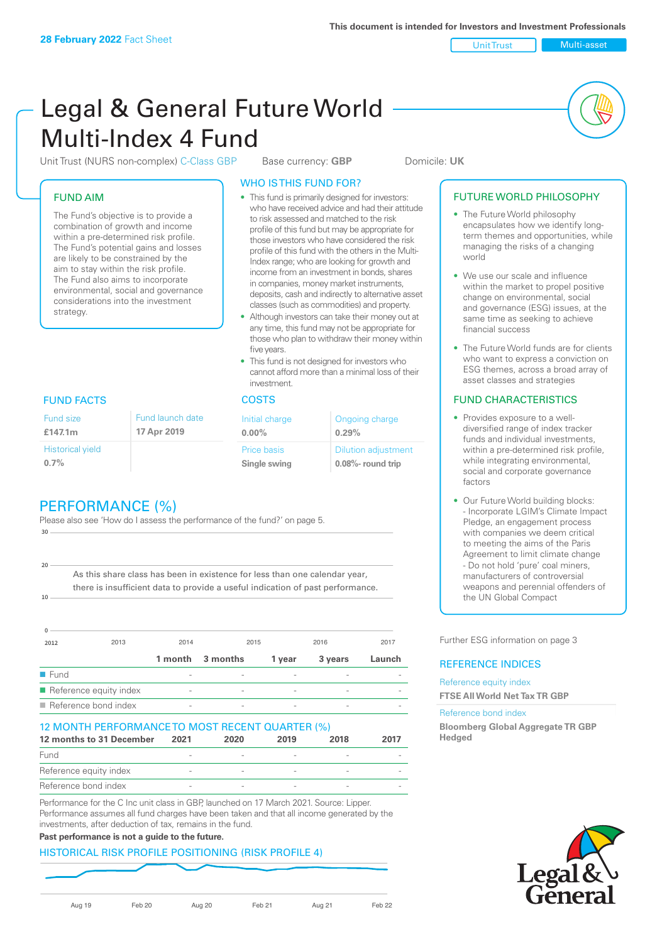Unit Trust Multi-asset

# Legal & General Future World Multi-Index 4 Fund

Unit Trust (NURS non-complex) C-Class GBP Base currency: **GBP** Domicile: UK

# FUND AIM

The Fund's objective is to provide a combination of growth and income within a pre-determined risk profile. The Fund's potential gains and losses are likely to be constrained by the aim to stay within the risk profile. The Fund also aims to incorporate environmental, social and governance considerations into the investment strategy.

# WHO IS THIS FUND FOR?

- This fund is primarily designed for investors: who have received advice and had their attitude to risk assessed and matched to the risk profile of this fund but may be appropriate for those investors who have considered the risk profile of this fund with the others in the Multi-Index range; who are looking for growth and income from an investment in bonds, shares in companies, money market instruments, deposits, cash and indirectly to alternative asset classes (such as commodities) and property.
- Although investors can take their money out at any time, this fund may not be appropriate for those who plan to withdraw their money within five years.
- This fund is not designed for investors who cannot afford more than a minimal loss of their investment.

| Fund launch date | Initial charge              | Ongoing charge                                      |
|------------------|-----------------------------|-----------------------------------------------------|
| 17 Apr 2019      | $0.00\%$                    | 0.29%                                               |
|                  | Price basis<br>Single swing | <b>Dilution adjustment</b><br>$0.08\%$ - round trip |

# FUND FACTS COSTS

Historical yield

Fund size **£147.1m**

**0.7%**

**10**

**20**

# PERFORMANCE (%)

Please also see 'How do I assess the performance of the fund?' on page 5. **30**

As this share class has been in existence for less than one calendar year, there is insufficient data to provide a useful indication of past performance.

| $\Omega$             |                        |                          |          |        |         |        |
|----------------------|------------------------|--------------------------|----------|--------|---------|--------|
| 2012                 | 2013                   | 2014                     | 2015     |        | 2016    | 2017   |
|                      |                        | 1 month                  | 3 months | 1 year | 3 years | Launch |
| $\blacksquare$ Fund  |                        |                          |          |        |         |        |
|                      | Reference equity index | $\overline{\phantom{a}}$ |          | -      |         |        |
| Reference bond index |                        | $\overline{\phantom{a}}$ |          |        |         |        |

#### 12 MONTH PERFORMANCE TO MOST RECENT QUARTER (%)

| 12 months to 31 December | 2021 | 2020 | 2019 | 2018 | 2017 |
|--------------------------|------|------|------|------|------|
| Fund                     |      |      |      |      |      |
| Reference equity index   |      |      |      |      |      |
| Reference bond index     |      |      |      |      |      |

Performance for the C Inc unit class in GBP, launched on 17 March 2021. Source: Lipper. Performance assumes all fund charges have been taken and that all income generated by the investments, after deduction of tax, remains in the fund.

# **Past performance is not a guide to the future.**

# HISTORICAL RISK PROFILE POSITIONING (RISK PROFILE 4)

Aug 19 Feb 20 Aug 20 Feb 21 Aug 21 Feb 22

# FUTURE WORLD PHILOSOPHY

- The Future World philosophy encapsulates how we identify longterm themes and opportunities, while managing the risks of a changing world
- We use our scale and influence within the market to propel positive change on environmental, social and governance (ESG) issues, at the same time as seeking to achieve financial success
- The Future World funds are for clients who want to express a conviction on ESG themes, across a broad array of asset classes and strategies

# FUND CHARACTERISTICS

- Provides exposure to a welldiversified range of index tracker funds and individual investments, within a pre-determined risk profile while integrating environmental, social and corporate governance factors
- Our Future World building blocks: - Incorporate LGIM's Climate Impact Pledge, an engagement process with companies we deem critical to meeting the aims of the Paris Agreement to limit climate change - Do not hold 'pure' coal miners, manufacturers of controversial weapons and perennial offenders of the UN Global Compact

Further ESG information on page 3

# REFERENCE INDICES

Reference equity index **FTSE All World Net Tax TR GBP**

#### Reference bond index

**Bloomberg Global Aggregate TR GBP Hedged**

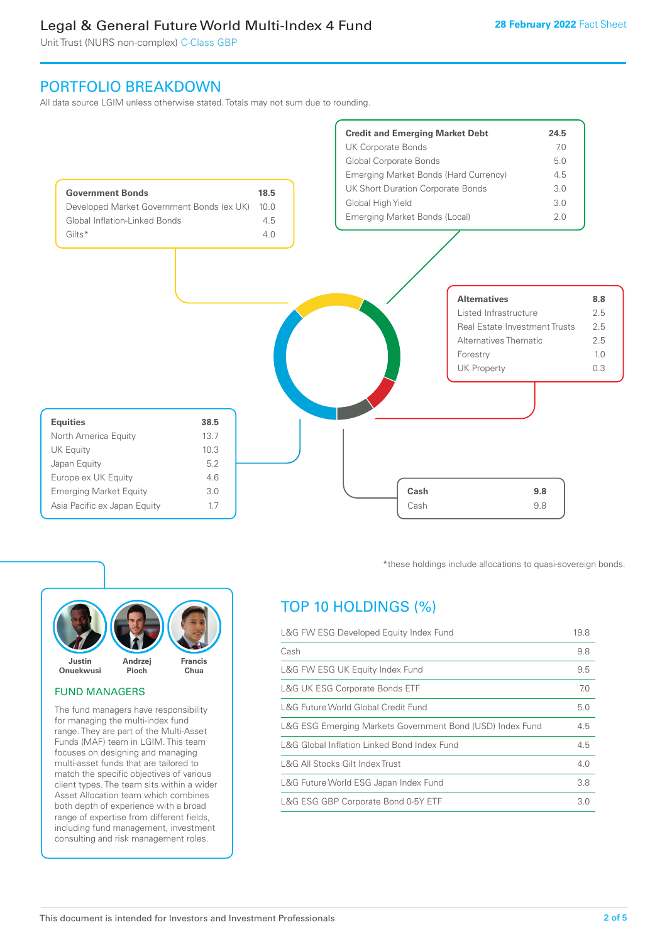Unit Trust (NURS non-complex) C-Class GBP

# PORTFOLIO BREAKDOWN

All data source LGIM unless otherwise stated. Totals may not sum due to rounding.





# FUND MANAGERS

The fund managers have responsibility for managing the multi-index fund range. They are part of the Multi-Asset Funds (MAF) team in LGIM. This team focuses on designing and managing multi-asset funds that are tailored to match the specific objectives of various client types. The team sits within a wider Asset Allocation team which combines both depth of experience with a broad range of expertise from different fields, including fund management, investment consulting and risk management roles.

\*these holdings include allocations to quasi-sovereign bonds.

# TOP 10 HOLDINGS (%)

| L&G FW ESG Developed Equity Index Fund                    |     |  |
|-----------------------------------------------------------|-----|--|
| Cash                                                      | 9.8 |  |
| L&G FW ESG UK Equity Index Fund                           | 9.5 |  |
| L&G UK ESG Corporate Bonds ETF                            | 7.0 |  |
| L&G Future World Global Credit Fund                       | 5.0 |  |
| L&G ESG Emerging Markets Government Bond (USD) Index Fund | 4.5 |  |
| L&G Global Inflation Linked Bond Index Fund               |     |  |
| L&G All Stocks Gilt Index Trust                           | 4.0 |  |
| L&G Future World ESG Japan Index Fund                     | 3.8 |  |
| L&G ESG GBP Corporate Bond 0-5Y ETF                       | 3.0 |  |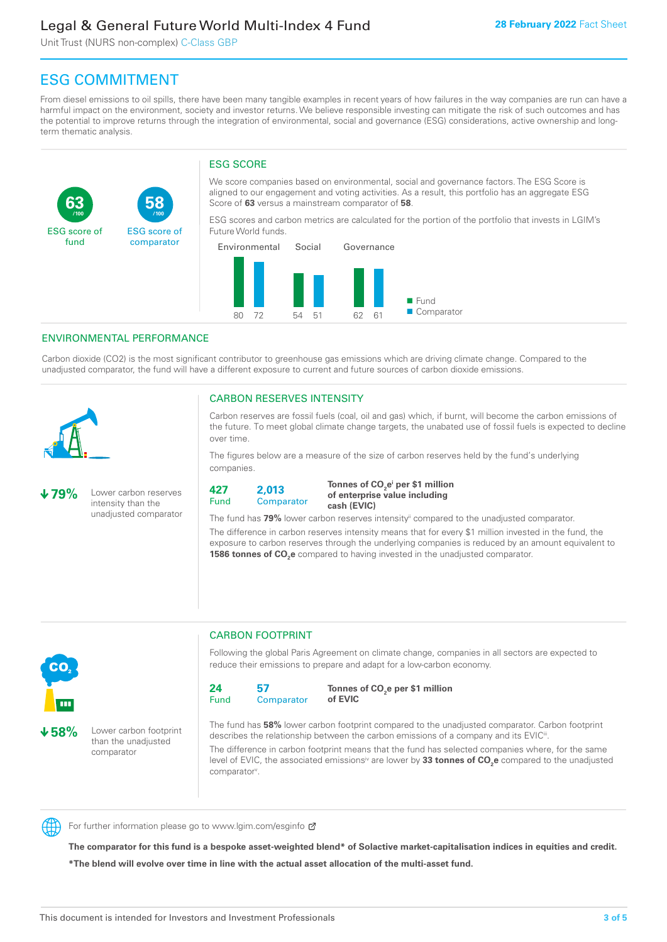Unit Trust (NURS non-complex) C-Class GBP

**58**

ESG score of comparator

# ESG COMMITMENT

From diesel emissions to oil spills, there have been many tangible examples in recent years of how failures in the way companies are run can have a harmful impact on the environment, society and investor returns. We believe responsible investing can mitigate the risk of such outcomes and has the potential to improve returns through the integration of environmental, social and governance (ESG) considerations, active ownership and longterm thematic analysis.

# ESG SCORE

We score companies based on environmental, social and governance factors. The ESG Score is aligned to our engagement and voting activities. As a result, this portfolio has an aggregate ESG Score of **63** versus a mainstream comparator of **58**.

ESG scores and carbon metrics are calculated for the portion of the portfolio that invests in LGIM's Future World funds.



# ENVIRONMENTAL PERFORMANCE

**/100 /100**

Carbon dioxide (CO2) is the most significant contributor to greenhouse gas emissions which are driving climate change. Compared to the unadjusted comparator, the fund will have a different exposure to current and future sources of carbon dioxide emissions.



**63**

ESG score of fund

# CARBON RESERVES INTENSITY

Carbon reserves are fossil fuels (coal, oil and gas) which, if burnt, will become the carbon emissions of the future. To meet global climate change targets, the unabated use of fossil fuels is expected to decline over time.

The figures below are a measure of the size of carbon reserves held by the fund's underlying companies.

**79%** Lower carbon reserves intensity than the unadjusted comparator



Tonnes of CO<sub>2</sub>e<sup>i</sup> per \$1 million **of enterprise value including cash (EVIC)**

The fund has 79% lower carbon reserves intensity<sup>ii</sup> compared to the unadjusted comparator.

The difference in carbon reserves intensity means that for every \$1 million invested in the fund, the exposure to carbon reserves through the underlying companies is reduced by an amount equivalent to **1586 tonnes of CO<sub>2</sub>e** compared to having invested in the unadjusted comparator.



**58%** Lower carbon footprint

than the unadjusted comparator

# CARBON FOOTPRINT

Following the global Paris Agreement on climate change, companies in all sectors are expected to reduce their emissions to prepare and adapt for a low-carbon economy.



**Tonnes of CO2 e per \$1 million of EVIC**

The fund has **58%** lower carbon footprint compared to the unadjusted comparator. Carbon footprint describes the relationship between the carbon emissions of a company and its EVIC<sup>ii</sup>.

The difference in carbon footprint means that the fund has selected companies where, for the same level of EVIC, the associated emissions<sup>iv</sup> are lower by 33 tonnes of CO<sub>2</sub>e compared to the unadjusted comparator<sup>v</sup>.



For further information please go to www.lgim.com/esginfo Ø

**The comparator for this fund is a bespoke asset-weighted blend\* of Solactive market-capitalisation indices in equities and credit. \*The blend will evolve over time in line with the actual asset allocation of the multi-asset fund.**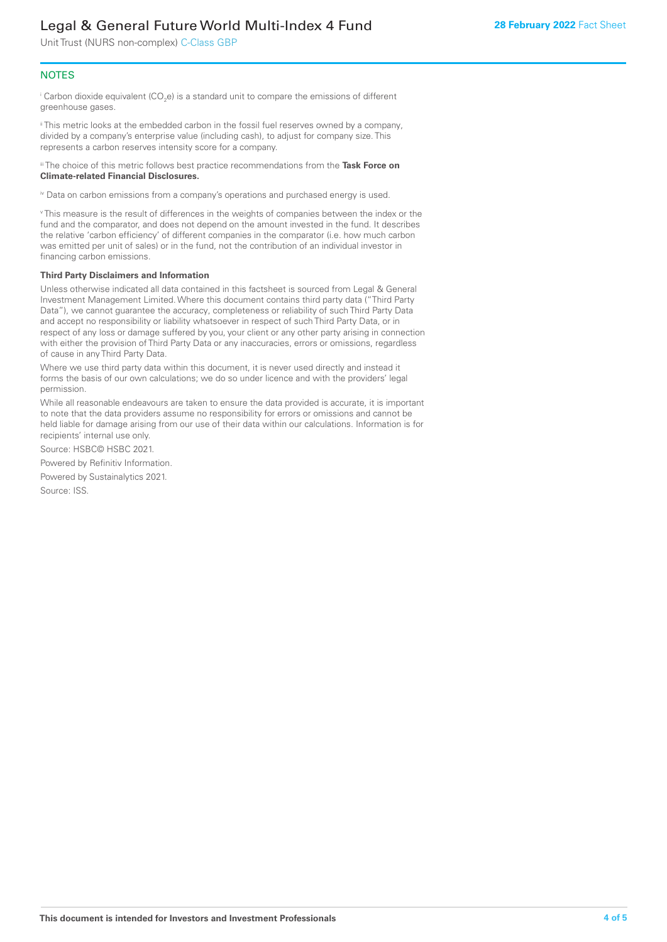Unit Trust (NURS non-complex) C-Class GBP

# **NOTES**

 $^\mathrm{i}$  Carbon dioxide equivalent (CO<sub>2</sub>e) is a standard unit to compare the emissions of different greenhouse gases.

ii This metric looks at the embedded carbon in the fossil fuel reserves owned by a company, divided by a company's enterprise value (including cash), to adjust for company size. This represents a carbon reserves intensity score for a company.

iii The choice of this metric follows best practice recommendations from the **Task Force on Climate-related Financial Disclosures.**

iv Data on carbon emissions from a company's operations and purchased energy is used.

v This measure is the result of differences in the weights of companies between the index or the fund and the comparator, and does not depend on the amount invested in the fund. It describes the relative 'carbon efficiency' of different companies in the comparator (i.e. how much carbon was emitted per unit of sales) or in the fund, not the contribution of an individual investor in financing carbon emissions.

#### **Third Party Disclaimers and Information**

Unless otherwise indicated all data contained in this factsheet is sourced from Legal & General Investment Management Limited. Where this document contains third party data ("Third Party Data"), we cannot guarantee the accuracy, completeness or reliability of such Third Party Data and accept no responsibility or liability whatsoever in respect of such Third Party Data, or in respect of any loss or damage suffered by you, your client or any other party arising in connection with either the provision of Third Party Data or any inaccuracies, errors or omissions, regardless of cause in any Third Party Data.

Where we use third party data within this document, it is never used directly and instead it forms the basis of our own calculations; we do so under licence and with the providers' legal permission.

While all reasonable endeavours are taken to ensure the data provided is accurate, it is important to note that the data providers assume no responsibility for errors or omissions and cannot be held liable for damage arising from our use of their data within our calculations. Information is for recipients' internal use only.

Source: HSBC© HSBC 2021.

Powered by Refinitiv Information.

Powered by Sustainalytics 2021.

Source: ISS.